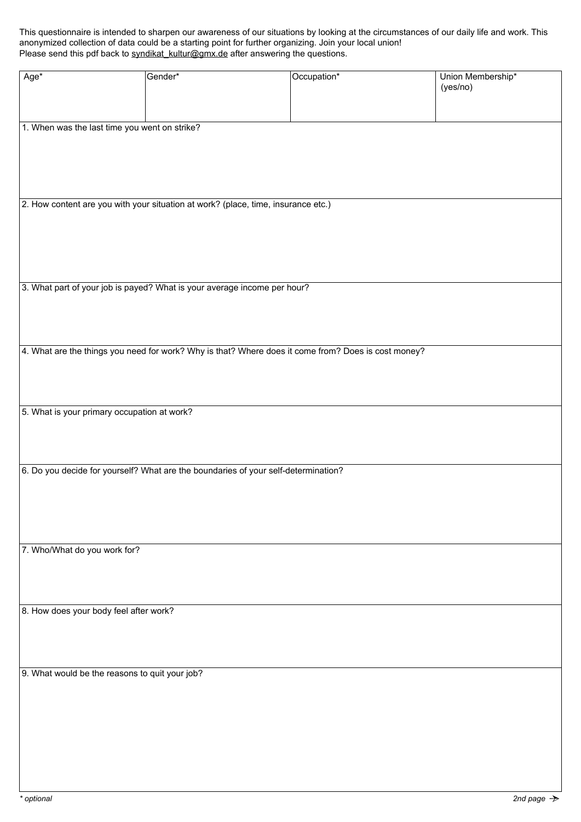This questionnaire is intended to sharpen our awareness of our situations by looking at the circumstances of our daily life and work. This anonymized collection of data could be a starting point for further organizing. Join your local union! Please send this pdf back to [syndikat\\_kultur@gmx.de](mailto:syndikat_kultur%40gmx.de?subject=questionnaire) after answering the questions.

| Age*                                                                                                | Gender* | Occupation* | Union Membership* |
|-----------------------------------------------------------------------------------------------------|---------|-------------|-------------------|
|                                                                                                     |         |             | (yes/no)          |
|                                                                                                     |         |             |                   |
|                                                                                                     |         |             |                   |
| 1. When was the last time you went on strike?                                                       |         |             |                   |
|                                                                                                     |         |             |                   |
|                                                                                                     |         |             |                   |
|                                                                                                     |         |             |                   |
|                                                                                                     |         |             |                   |
| 2. How content are you with your situation at work? (place, time, insurance etc.)                   |         |             |                   |
|                                                                                                     |         |             |                   |
|                                                                                                     |         |             |                   |
|                                                                                                     |         |             |                   |
|                                                                                                     |         |             |                   |
| 3. What part of your job is payed? What is your average income per hour?                            |         |             |                   |
|                                                                                                     |         |             |                   |
|                                                                                                     |         |             |                   |
|                                                                                                     |         |             |                   |
|                                                                                                     |         |             |                   |
| 4. What are the things you need for work? Why is that? Where does it come from? Does is cost money? |         |             |                   |
|                                                                                                     |         |             |                   |
|                                                                                                     |         |             |                   |
|                                                                                                     |         |             |                   |
| 5. What is your primary occupation at work?                                                         |         |             |                   |
|                                                                                                     |         |             |                   |
|                                                                                                     |         |             |                   |
| 6. Do you decide for yourself? What are the boundaries of your self-determination?                  |         |             |                   |
|                                                                                                     |         |             |                   |
|                                                                                                     |         |             |                   |
|                                                                                                     |         |             |                   |
|                                                                                                     |         |             |                   |
|                                                                                                     |         |             |                   |
| 7. Who/What do you work for?                                                                        |         |             |                   |
|                                                                                                     |         |             |                   |
|                                                                                                     |         |             |                   |
|                                                                                                     |         |             |                   |
| 8. How does your body feel after work?                                                              |         |             |                   |
|                                                                                                     |         |             |                   |
|                                                                                                     |         |             |                   |
|                                                                                                     |         |             |                   |
| 9. What would be the reasons to quit your job?                                                      |         |             |                   |
|                                                                                                     |         |             |                   |
|                                                                                                     |         |             |                   |
|                                                                                                     |         |             |                   |
|                                                                                                     |         |             |                   |
|                                                                                                     |         |             |                   |
|                                                                                                     |         |             |                   |
|                                                                                                     |         |             |                   |
|                                                                                                     |         |             |                   |